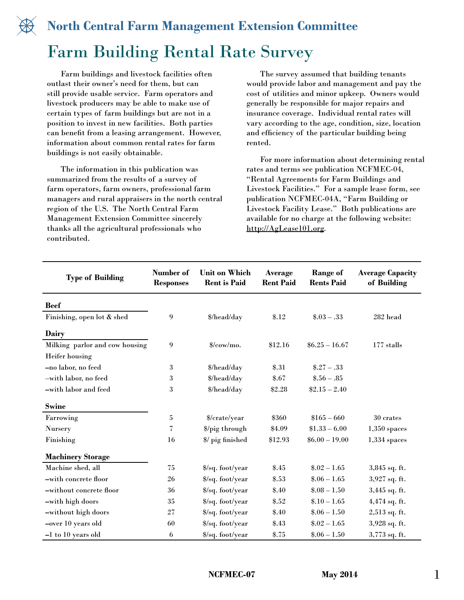

# Farm Building Rental Rate Survey

Farm buildings and livestock facilities often outlast their owner's need for them, but can still provide usable service. Farm operators and livestock producers may be able to make use of certain types of farm buildings but are not in a position to invest in new facilities. Both parties can benefit from a leasing arrangement. However, information about common rental rates for farm buildings is not easily obtainable.

The information in this publication was summarized from the results of a survey of farm operators, farm owners, professional farm managers and rural appraisers in the north central region of the U.S. The North Central Farm Management Extension Committee sincerely thanks all the agricultural professionals who contributed.

The survey assumed that building tenants would provide labor and management and pay the cost of utilities and minor upkeep. Owners would generally be responsible for major repairs and insurance coverage. Individual rental rates will vary according to the age, condition, size, location and efficiency of the particular building being rented.

For more information about determining rental rates and terms see publication NCFMEC-04, "Rental Agreements for Farm Buildings and Livestock Facilities." For a sample lease form, see publication NCFMEC-04A, "Farm Building or Livestock Facility Lease." Both publications are available for no charge at the following website: [http://AgLease101.org.](http://AgLease101.org)

| <b>Type of Building</b>        | <b>Number</b> of<br><b>Responses</b> | <b>Unit on Which</b><br><b>Rent is Paid</b> | Average<br><b>Rent Paid</b> | Range of<br><b>Rents Paid</b> | <b>Average Capacity</b><br>of Building |
|--------------------------------|--------------------------------------|---------------------------------------------|-----------------------------|-------------------------------|----------------------------------------|
| <b>Beef</b>                    |                                      |                                             |                             |                               |                                        |
| Finishing, open lot & shed     | 9                                    | \$/head/day                                 | \$.12                       | $\$.03-.33$                   | 282 head                               |
| Dairy                          |                                      |                                             |                             |                               |                                        |
| Milking parlor and cow housing | 9                                    | $\degree$ /cow/mo.                          | \$12.16                     | $$6.25 - 16.67$               | 177 stalls                             |
| Heifer housing                 |                                      |                                             |                             |                               |                                        |
| -no labor, no feed             | 3                                    | \$/head/day                                 | \$.31                       | $\$$ .27 - .33                |                                        |
| -with labor, no feed           | $\sqrt{3}$                           | \$/head/day                                 | \$.67                       | $\$.56-.85$                   |                                        |
| -with labor and feed           | 3                                    | \$/head/day                                 | \$2.28                      | $$2.15 - 2.40$                |                                        |
| <b>Swine</b>                   |                                      |                                             |                             |                               |                                        |
| Farrowing                      | 5                                    | \$/crate/year                               | \$360                       | $$165 - 660$                  | 30 crates                              |
| Nursery                        | 7                                    | \$/pig through                              | \$4.09                      | $$1.33 - 6.00$                | $1,350$ spaces                         |
| Finishing                      | 16                                   | \$/ pig finished                            | \$12.93                     | $$6.00 - 19.00$               | $1,334$ spaces                         |
| <b>Machinery Storage</b>       |                                      |                                             |                             |                               |                                        |
| Machine shed, all              | 75                                   | \$/sq. foot/year                            | \$.45                       | $\$.02 - 1.65$                | 3,845 sq. ft.                          |
| -with concrete floor           | 26                                   | \$/sq. foot/year                            | \$.53                       | $$.06 - 1.65$                 | 3,927 sq. ft.                          |
| -without concrete floor        | 36                                   | \$/sq. foot/year                            | $\$.40$                     | $$.08 - 1.50$                 | 3,445 sq. ft.                          |
| -with high doors               | 35                                   | \$/sq. foot/year                            | $\$.52$                     | $\$.10 - 1.65$                | 4,474 sq. ft.                          |
| -without high doors            | 27                                   | \$/sq. foot/year                            | \$.40                       | $$.06 - 1.50$                 | $2,513$ sq. ft.                        |
| -over 10 years old             | 60                                   | \$/sq. foot/year                            | \$.43                       | $\$.02 - 1.65$                | 3,928 sq. ft.                          |
| $-1$ to 10 years old           | 6                                    | \$/sq. foot/year                            | \$.75                       | $\$.06 - 1.50$                | 3,773 sq. ft.                          |